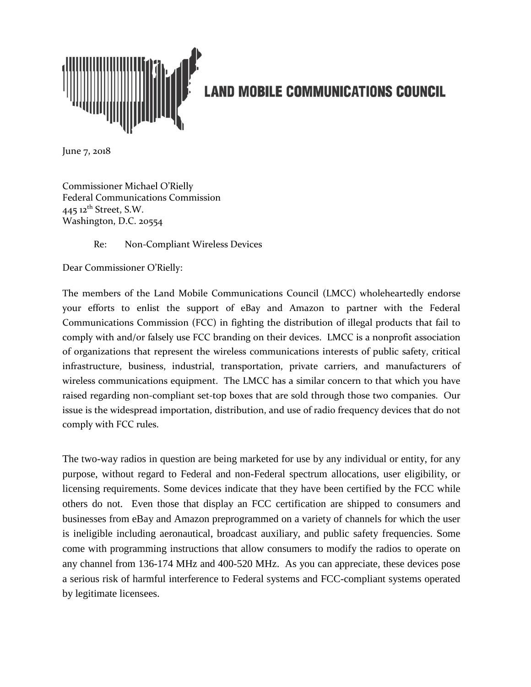

## **LAND MOBILE COMMUNICATIONS COUNCIL**

June 7, 2018

Commissioner Michael O'Rielly Federal Communications Commission 445  $12<sup>th</sup>$  Street, S.W. Washington, D.C. 20554

Re: Non-Compliant Wireless Devices

Dear Commissioner O'Rielly:

The members of the Land Mobile Communications Council (LMCC) wholeheartedly endorse your efforts to enlist the support of eBay and Amazon to partner with the Federal Communications Commission (FCC) in fighting the distribution of illegal products that fail to comply with and/or falsely use FCC branding on their devices. LMCC is a nonprofit association of organizations that represent the wireless communications interests of public safety, critical infrastructure, business, industrial, transportation, private carriers, and manufacturers of wireless communications equipment. The LMCC has a similar concern to that which you have raised regarding non-compliant set-top boxes that are sold through those two companies. Our issue is the widespread importation, distribution, and use of radio frequency devices that do not comply with FCC rules.

The two-way radios in question are being marketed for use by any individual or entity, for any purpose, without regard to Federal and non-Federal spectrum allocations, user eligibility, or licensing requirements. Some devices indicate that they have been certified by the FCC while others do not. Even those that display an FCC certification are shipped to consumers and businesses from eBay and Amazon preprogrammed on a variety of channels for which the user is ineligible including aeronautical, broadcast auxiliary, and public safety frequencies. Some come with programming instructions that allow consumers to modify the radios to operate on any channel from 136-174 MHz and 400-520 MHz. As you can appreciate, these devices pose a serious risk of harmful interference to Federal systems and FCC-compliant systems operated by legitimate licensees.